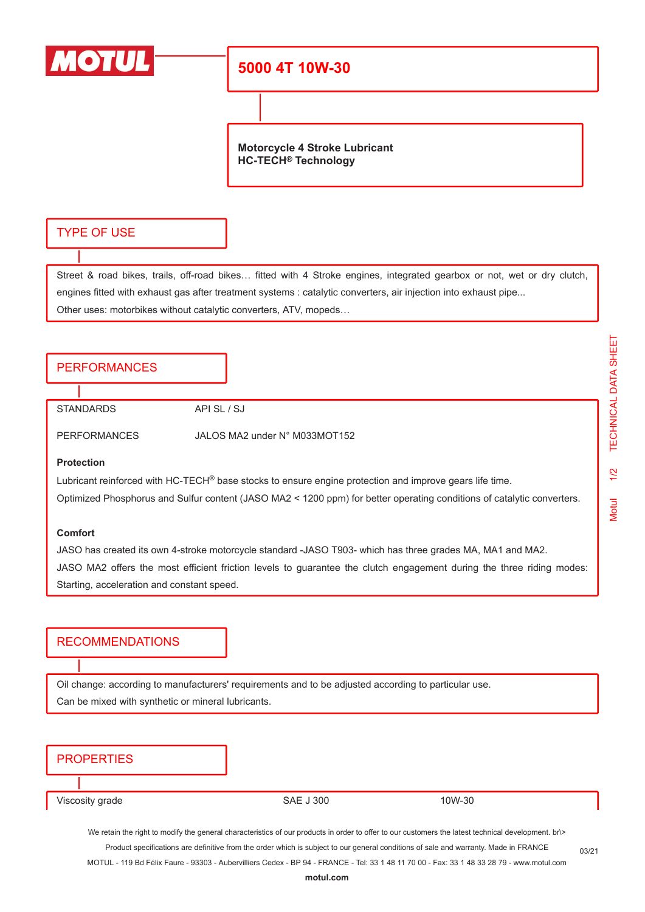

## **5000 4T 10W-30**

**Motorcycle 4 Stroke Lubricant HC-TECH® Technology**

## TYPE OF USE

Street & road bikes, trails, off-road bikes… fitted with 4 Stroke engines, integrated gearbox or not, wet or dry clutch, engines fitted with exhaust gas after treatment systems : catalytic converters, air injection into exhaust pipe... Other uses: motorbikes without catalytic converters, ATV, mopeds…

### PERFORMANCES

STANDARDS API SL / SJ

PERFORMANCES JALOS MA2 under N° M033MOT152

#### **Protection**

Lubricant reinforced with HC-TECH® base stocks to ensure engine protection and improve gears life time.

Optimized Phosphorus and Sulfur content (JASO MA2 < 1200 ppm) for better operating conditions of catalytic converters.

#### **Comfort**

JASO has created its own 4-stroke motorcycle standard -JASO T903- which has three grades MA, MA1 and MA2. JASO MA2 offers the most efficient friction levels to guarantee the clutch engagement during the three riding modes: Starting, acceleration and constant speed.

## **RECOMMENDATIONS**

Oil change: according to manufacturers' requirements and to be adjusted according to particular use. Can be mixed with synthetic or mineral lubricants.

## **PROPERTIES**

Viscosity grade The SAE J 300 10W-30

We retain the right to modify the general characteristics of our products in order to offer to our customers the latest technical development. br\> Product specifications are definitive from the order which is subject to our general conditions of sale and warranty. Made in FRANCE

MOTUL - 119 Bd Félix Faure - 93303 - Aubervilliers Cedex - BP 94 - FRANCE - Tel: 33 1 48 11 70 00 - Fax: 33 1 48 33 28 79 - www.motul.com

03/21